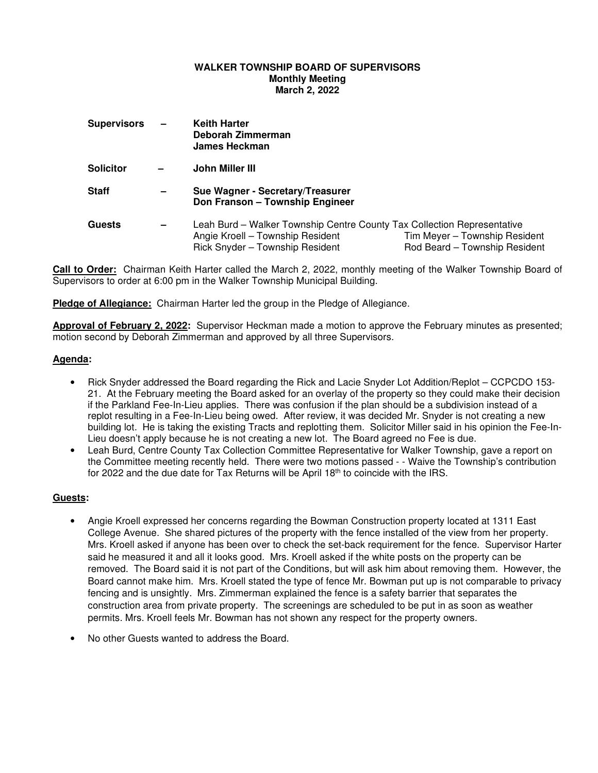### **WALKER TOWNSHIP BOARD OF SUPERVISORS Monthly Meeting March 2, 2022**

| <b>Supervisors</b> | $\overline{\phantom{m}}$ | <b>Keith Harter</b><br>Deborah Zimmerman<br><b>James Heckman</b>                                                                               |                                                                |
|--------------------|--------------------------|------------------------------------------------------------------------------------------------------------------------------------------------|----------------------------------------------------------------|
| <b>Solicitor</b>   |                          | John Miller III                                                                                                                                |                                                                |
| <b>Staff</b>       | $\overline{\phantom{0}}$ | Sue Wagner - Secretary/Treasurer<br>Don Franson - Township Engineer                                                                            |                                                                |
| <b>Guests</b>      | -                        | Leah Burd – Walker Township Centre County Tax Collection Representative<br>Angie Kroell - Township Resident<br>Rick Snyder - Township Resident | Tim Meyer - Township Resident<br>Rod Beard - Township Resident |

**Call to Order:** Chairman Keith Harter called the March 2, 2022, monthly meeting of the Walker Township Board of Supervisors to order at 6:00 pm in the Walker Township Municipal Building.

**Pledge of Allegiance:** Chairman Harter led the group in the Pledge of Allegiance.

**Approval of February 2, 2022:** Supervisor Heckman made a motion to approve the February minutes as presented; motion second by Deborah Zimmerman and approved by all three Supervisors.

# **Agenda:**

- Rick Snyder addressed the Board regarding the Rick and Lacie Snyder Lot Addition/Replot CCPCDO 153- 21. At the February meeting the Board asked for an overlay of the property so they could make their decision if the Parkland Fee-In-Lieu applies. There was confusion if the plan should be a subdivision instead of a replot resulting in a Fee-In-Lieu being owed. After review, it was decided Mr. Snyder is not creating a new building lot. He is taking the existing Tracts and replotting them. Solicitor Miller said in his opinion the Fee-In-Lieu doesn't apply because he is not creating a new lot. The Board agreed no Fee is due.
- Leah Burd, Centre County Tax Collection Committee Representative for Walker Township, gave a report on the Committee meeting recently held. There were two motions passed - - Waive the Township's contribution for 2022 and the due date for Tax Returns will be April 18th to coincide with the IRS.

#### **Guests:**

- Angie Kroell expressed her concerns regarding the Bowman Construction property located at 1311 East College Avenue. She shared pictures of the property with the fence installed of the view from her property. Mrs. Kroell asked if anyone has been over to check the set-back requirement for the fence. Supervisor Harter said he measured it and all it looks good. Mrs. Kroell asked if the white posts on the property can be removed. The Board said it is not part of the Conditions, but will ask him about removing them. However, the Board cannot make him. Mrs. Kroell stated the type of fence Mr. Bowman put up is not comparable to privacy fencing and is unsightly. Mrs. Zimmerman explained the fence is a safety barrier that separates the construction area from private property. The screenings are scheduled to be put in as soon as weather permits. Mrs. Kroell feels Mr. Bowman has not shown any respect for the property owners.
- No other Guests wanted to address the Board.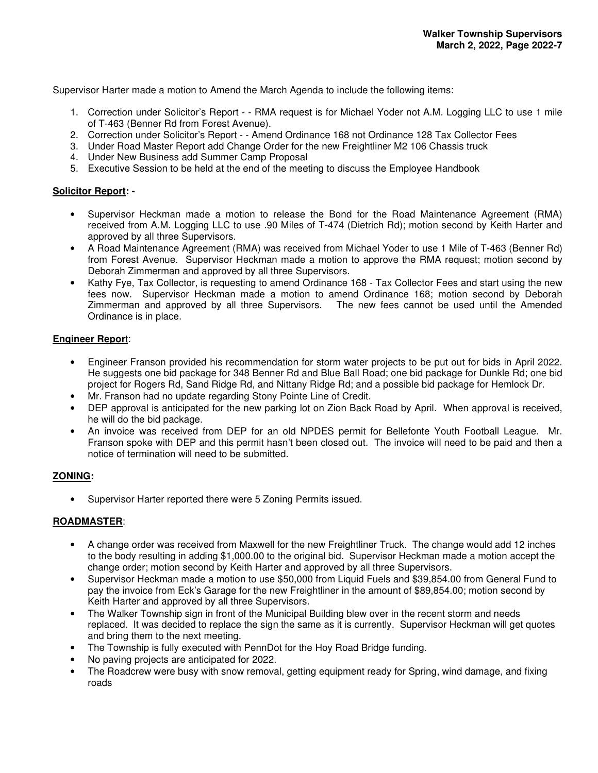Supervisor Harter made a motion to Amend the March Agenda to include the following items:

- 1. Correction under Solicitor's Report - RMA request is for Michael Yoder not A.M. Logging LLC to use 1 mile of T-463 (Benner Rd from Forest Avenue).
- 2. Correction under Solicitor's Report - Amend Ordinance 168 not Ordinance 128 Tax Collector Fees
- 3. Under Road Master Report add Change Order for the new Freightliner M2 106 Chassis truck
- 4. Under New Business add Summer Camp Proposal
- 5. Executive Session to be held at the end of the meeting to discuss the Employee Handbook

### **Solicitor Report: -**

- Supervisor Heckman made a motion to release the Bond for the Road Maintenance Agreement (RMA) received from A.M. Logging LLC to use .90 Miles of T-474 (Dietrich Rd); motion second by Keith Harter and approved by all three Supervisors.
- A Road Maintenance Agreement (RMA) was received from Michael Yoder to use 1 Mile of T-463 (Benner Rd) from Forest Avenue. Supervisor Heckman made a motion to approve the RMA request; motion second by Deborah Zimmerman and approved by all three Supervisors.
- Kathy Fye, Tax Collector, is requesting to amend Ordinance 168 Tax Collector Fees and start using the new fees now. Supervisor Heckman made a motion to amend Ordinance 168; motion second by Deborah Zimmerman and approved by all three Supervisors. The new fees cannot be used until the Amended Ordinance is in place.

### **Engineer Repor**t:

- Engineer Franson provided his recommendation for storm water projects to be put out for bids in April 2022. He suggests one bid package for 348 Benner Rd and Blue Ball Road; one bid package for Dunkle Rd; one bid project for Rogers Rd, Sand Ridge Rd, and Nittany Ridge Rd; and a possible bid package for Hemlock Dr.
- Mr. Franson had no update regarding Stony Pointe Line of Credit.
- DEP approval is anticipated for the new parking lot on Zion Back Road by April. When approval is received, he will do the bid package.
- An invoice was received from DEP for an old NPDES permit for Bellefonte Youth Football League. Mr. Franson spoke with DEP and this permit hasn't been closed out. The invoice will need to be paid and then a notice of termination will need to be submitted.

# **ZONING:**

• Supervisor Harter reported there were 5 Zoning Permits issued.

# **ROADMASTER**:

- A change order was received from Maxwell for the new Freightliner Truck. The change would add 12 inches to the body resulting in adding \$1,000.00 to the original bid. Supervisor Heckman made a motion accept the change order; motion second by Keith Harter and approved by all three Supervisors.
- Supervisor Heckman made a motion to use \$50,000 from Liquid Fuels and \$39,854.00 from General Fund to pay the invoice from Eck's Garage for the new Freightliner in the amount of \$89,854.00; motion second by Keith Harter and approved by all three Supervisors.
- The Walker Township sign in front of the Municipal Building blew over in the recent storm and needs replaced. It was decided to replace the sign the same as it is currently. Supervisor Heckman will get quotes and bring them to the next meeting.
- The Township is fully executed with PennDot for the Hoy Road Bridge funding.
- No paving projects are anticipated for 2022.
- The Roadcrew were busy with snow removal, getting equipment ready for Spring, wind damage, and fixing roads